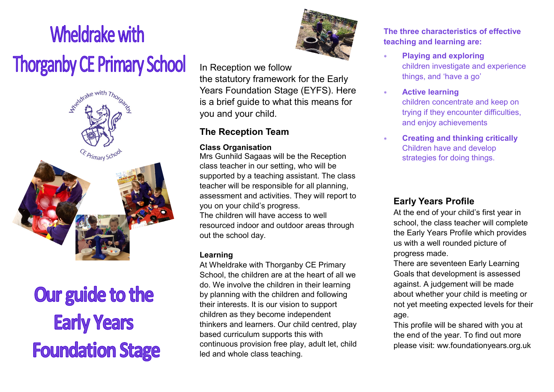# **Wheldrake with Thorganby CE Primary School**



# Our guide to the **Early Years Foundation Stage**



In Reception we follow the statutory framework for the Early Years Foundation Stage (EYFS). Here is a brief guide to what this means for you and your child.

# **The Reception Team**

#### **Class Organisation**

Mrs Gunhild Sagaas will be the Reception class teacher in our setting, who will be supported by a teaching assistant. The class teacher will be responsible for all planning, assessment and activities. They will report to you on your child's progress. The children will have access to well resourced indoor and outdoor areas through

## **Learning**

out the school day.

At Wheldrake with Thorganby CE Primary School, the children are at the heart of all we do. We involve the children in their learning by planning with the children and following their interests. It is our vision to support children as they become independent thinkers and learners. Our child centred, play based curriculum supports this with continuous provision free play, adult let, child led and whole class teaching.

**The three characteristics of effective teaching and learning are:**

- **Playing and exploring**  children investigate and experience things, and 'have a go'
- **Active learning**  children concentrate and keep on trying if they encounter difficulties, and enjoy achievements
- **Creating and thinking critically**  Children have and develop strategies for doing things.

# **Early Years Profile**

At the end of your child's first year in school, the class teacher will complete the Early Years Profile which provides us with a well rounded picture of progress made.

There are seventeen Early Learning Goals that development is assessed against. A judgement will be made about whether your child is meeting or not yet meeting expected levels for their age.

This profile will be shared with you at the end of the year. To find out more please visit: ww.foundationyears.org.uk